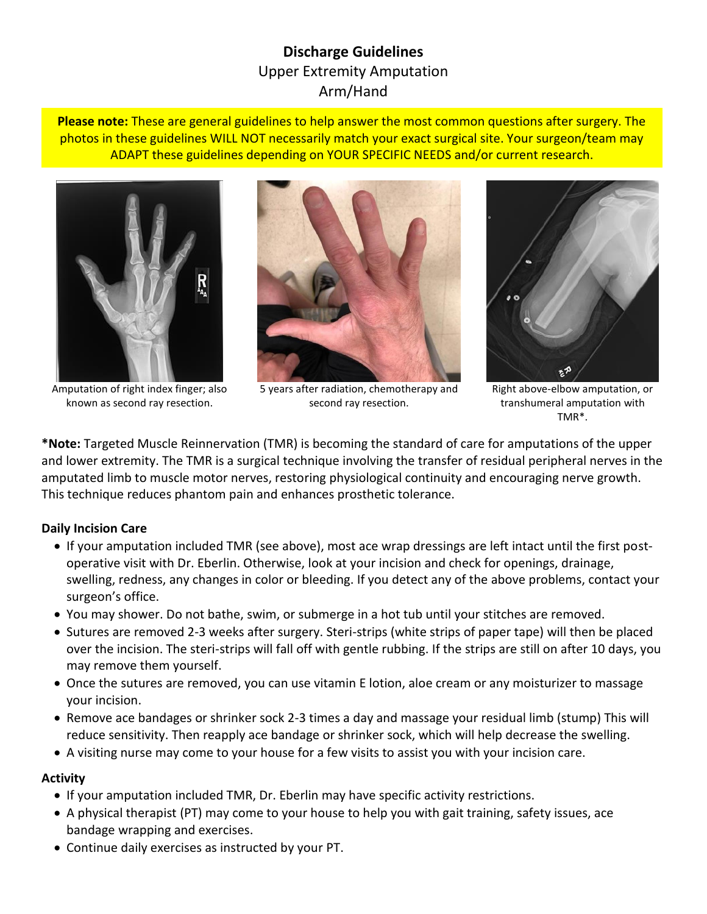# **Discharge Guidelines** Upper Extremity Amputation Arm/Hand

**Please note:** These are general guidelines to help answer the most common questions after surgery. The photos in these guidelines WILL NOT necessarily match your exact surgical site. Your surgeon/team may ADAPT these guidelines depending on YOUR SPECIFIC NEEDS and/or current research.



Amputation of right index finger; also known as second ray resection.



5 years after radiation, chemotherapy and second ray resection.



Right above-elbow amputation, or transhumeral amputation with TMR\*.

**\*Note:** Targeted Muscle Reinnervation (TMR) is becoming the standard of care for amputations of the upper and lower extremity. The TMR is a surgical technique involving the transfer of residual peripheral nerves in the amputated limb to muscle motor nerves, restoring physiological continuity and encouraging nerve growth. This technique reduces phantom pain and enhances prosthetic tolerance.

# **Daily Incision Care**

- If your amputation included TMR (see above), most ace wrap dressings are left intact until the first postoperative visit with Dr. Eberlin. Otherwise, look at your incision and check for openings, drainage, swelling, redness, any changes in color or bleeding. If you detect any of the above problems, contact your surgeon's office.
- You may shower. Do not bathe, swim, or submerge in a hot tub until your stitches are removed.
- Sutures are removed 2-3 weeks after surgery. Steri-strips (white strips of paper tape) will then be placed over the incision. The steri-strips will fall off with gentle rubbing. If the strips are still on after 10 days, you may remove them yourself.
- Once the sutures are removed, you can use vitamin E lotion, aloe cream or any moisturizer to massage your incision.
- Remove ace bandages or shrinker sock 2-3 times a day and massage your residual limb (stump) This will reduce sensitivity. Then reapply ace bandage or shrinker sock, which will help decrease the swelling.
- A visiting nurse may come to your house for a few visits to assist you with your incision care.

# **Activity**

- If your amputation included TMR, Dr. Eberlin may have specific activity restrictions.
- A physical therapist (PT) may come to your house to help you with gait training, safety issues, ace bandage wrapping and exercises.
- Continue daily exercises as instructed by your PT.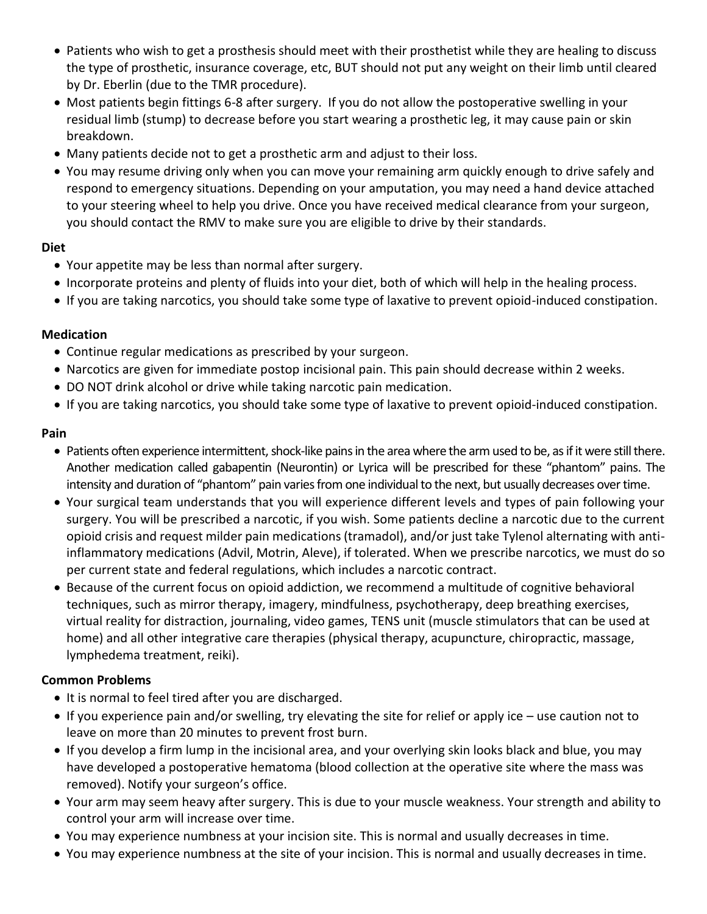- Patients who wish to get a prosthesis should meet with their prosthetist while they are healing to discuss the type of prosthetic, insurance coverage, etc, BUT should not put any weight on their limb until cleared by Dr. Eberlin (due to the TMR procedure).
- Most patients begin fittings 6-8 after surgery. If you do not allow the postoperative swelling in your residual limb (stump) to decrease before you start wearing a prosthetic leg, it may cause pain or skin breakdown.
- Many patients decide not to get a prosthetic arm and adjust to their loss.
- You may resume driving only when you can move your remaining arm quickly enough to drive safely and respond to emergency situations. Depending on your amputation, you may need a hand device attached to your steering wheel to help you drive. Once you have received medical clearance from your surgeon, you should contact the RMV to make sure you are eligible to drive by their standards.

### **Diet**

- Your appetite may be less than normal after surgery.
- Incorporate proteins and plenty of fluids into your diet, both of which will help in the healing process.
- If you are taking narcotics, you should take some type of laxative to prevent opioid-induced constipation.

### **Medication**

- Continue regular medications as prescribed by your surgeon.
- Narcotics are given for immediate postop incisional pain. This pain should decrease within 2 weeks.
- DO NOT drink alcohol or drive while taking narcotic pain medication.
- If you are taking narcotics, you should take some type of laxative to prevent opioid-induced constipation.

### **Pain**

- Patients often experience intermittent, shock-like pains in the area where the arm used to be, as if it were still there. Another medication called gabapentin (Neurontin) or Lyrica will be prescribed for these "phantom" pains. The intensity and duration of "phantom" pain varies from one individual to the next, but usually decreases over time.
- Your surgical team understands that you will experience different levels and types of pain following your surgery. You will be prescribed a narcotic, if you wish. Some patients decline a narcotic due to the current opioid crisis and request milder pain medications (tramadol), and/or just take Tylenol alternating with antiinflammatory medications (Advil, Motrin, Aleve), if tolerated. When we prescribe narcotics, we must do so per current state and federal regulations, which includes a narcotic contract.
- Because of the current focus on opioid addiction, we recommend a multitude of cognitive behavioral techniques, such as mirror therapy, imagery, mindfulness, psychotherapy, deep breathing exercises, virtual reality for distraction, journaling, video games, TENS unit (muscle stimulators that can be used at home) and all other integrative care therapies (physical therapy, acupuncture, chiropractic, massage, lymphedema treatment, reiki).

# **Common Problems**

- It is normal to feel tired after you are discharged.
- If you experience pain and/or swelling, try elevating the site for relief or apply ice use caution not to leave on more than 20 minutes to prevent frost burn.
- If you develop a firm lump in the incisional area, and your overlying skin looks black and blue, you may have developed a postoperative hematoma (blood collection at the operative site where the mass was removed). Notify your surgeon's office.
- Your arm may seem heavy after surgery. This is due to your muscle weakness. Your strength and ability to control your arm will increase over time.
- You may experience numbness at your incision site. This is normal and usually decreases in time.
- You may experience numbness at the site of your incision. This is normal and usually decreases in time.